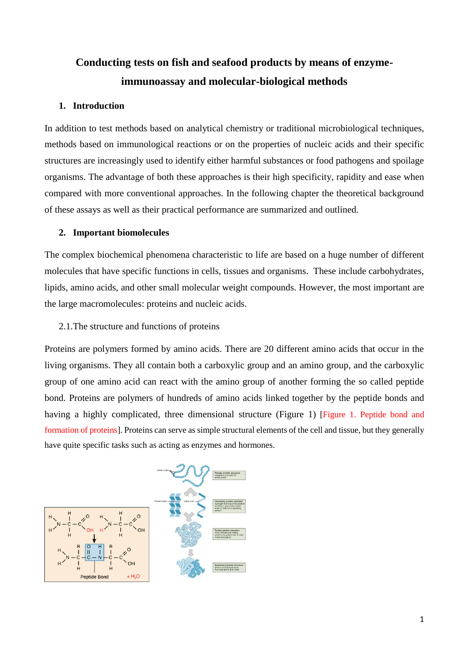# **Conducting tests on fish and seafood products by means of enzymeimmunoassay and molecular-biological methods**

# **1. Introduction**

In addition to test methods based on analytical chemistry or traditional microbiological techniques, methods based on immunological reactions or on the properties of nucleic acids and their specific structures are increasingly used to identify either harmful substances or food pathogens and spoilage organisms. The advantage of both these approaches is their high specificity, rapidity and ease when compared with more conventional approaches. In the following chapter the theoretical background of these assays as well as their practical performance are summarized and outlined.

# **2. Important biomolecules**

The complex biochemical phenomena characteristic to life are based on a huge number of different molecules that have specific functions in cells, tissues and organisms. These include carbohydrates, lipids, amino acids, and other small molecular weight compounds. However, the most important are the large macromolecules: proteins and nucleic acids.

# 2.1.The structure and functions of proteins

Proteins are polymers formed by amino acids. There are 20 different amino acids that occur in the living organisms. They all contain both a carboxylic group and an amino group, and the carboxylic group of one amino acid can react with the amino group of another forming the so called peptide bond. Proteins are polymers of hundreds of amino acids linked together by the peptide bonds and having a highly complicated, three dimensional structure (Figure 1) [Figure 1. Peptide bond and formation of proteins]. Proteins can serve as simple structural elements of the cell and tissue, but they generally have quite specific tasks such as acting as enzymes and hormones.

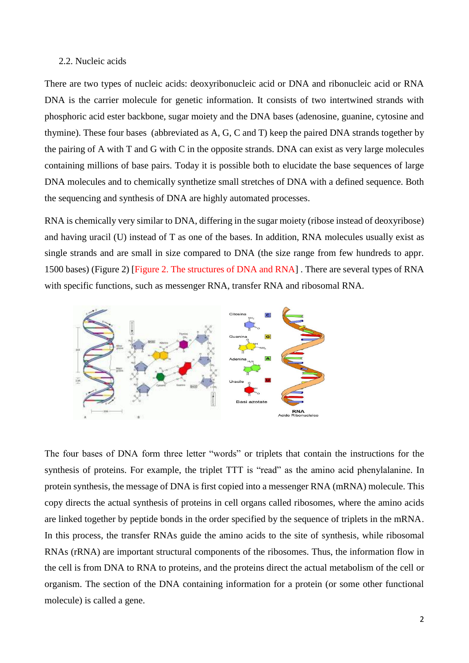# 2.2. Nucleic acids

There are two types of nucleic acids: deoxyribonucleic acid or DNA and ribonucleic acid or RNA DNA is the carrier molecule for genetic information. It consists of two intertwined strands with phosphoric acid ester backbone, sugar moiety and the DNA bases (adenosine, guanine, cytosine and thymine). These four bases (abbreviated as A, G, C and T) keep the paired DNA strands together by the pairing of A with T and G with C in the opposite strands. DNA can exist as very large molecules containing millions of base pairs. Today it is possible both to elucidate the base sequences of large DNA molecules and to chemically synthetize small stretches of DNA with a defined sequence. Both the sequencing and synthesis of DNA are highly automated processes.

RNA is chemically very similar to DNA, differing in the sugar moiety (ribose instead of deoxyribose) and having uracil (U) instead of T as one of the bases. In addition, RNA molecules usually exist as single strands and are small in size compared to DNA (the size range from few hundreds to appr. 1500 bases) (Figure 2) [Figure 2. The structures of DNA and RNA] . There are several types of RNA with specific functions, such as messenger RNA, transfer RNA and ribosomal RNA.



The four bases of DNA form three letter "words" or triplets that contain the instructions for the synthesis of proteins. For example, the triplet TTT is "read" as the amino acid phenylalanine. In protein synthesis, the message of DNA is first copied into a messenger RNA (mRNA) molecule. This copy directs the actual synthesis of proteins in cell organs called ribosomes, where the amino acids are linked together by peptide bonds in the order specified by the sequence of triplets in the mRNA. In this process, the transfer RNAs guide the amino acids to the site of synthesis, while ribosomal RNAs (rRNA) are important structural components of the ribosomes. Thus, the information flow in the cell is from DNA to RNA to proteins, and the proteins direct the actual metabolism of the cell or organism. The section of the DNA containing information for a protein (or some other functional molecule) is called a gene.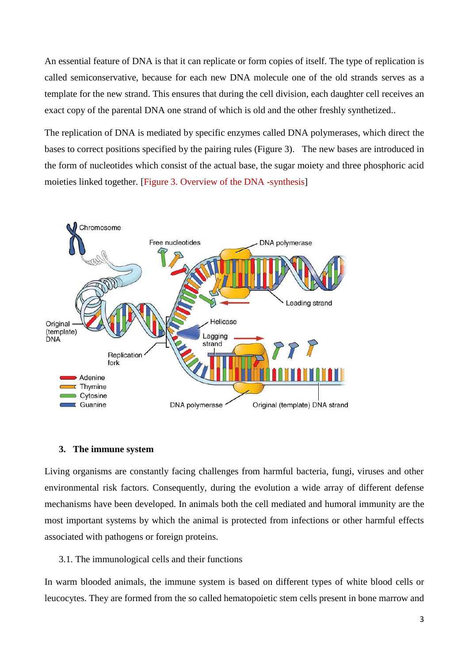An essential feature of DNA is that it can replicate or form copies of itself. The type of replication is called semiconservative, because for each new DNA molecule one of the old strands serves as a template for the new strand. This ensures that during the cell division, each daughter cell receives an exact copy of the parental DNA one strand of which is old and the other freshly synthetized..

The replication of DNA is mediated by specific enzymes called DNA polymerases, which direct the bases to correct positions specified by the pairing rules (Figure 3). The new bases are introduced in the form of nucleotides which consist of the actual base, the sugar moiety and three phosphoric acid moieties linked together. [Figure 3. Overview of the DNA -synthesis]



# **3. The immune system**

Living organisms are constantly facing challenges from harmful bacteria, fungi, viruses and other environmental risk factors. Consequently, during the evolution a wide array of different defense mechanisms have been developed. In animals both the cell mediated and humoral immunity are the most important systems by which the animal is protected from infections or other harmful effects associated with pathogens or foreign proteins.

# 3.1. The immunological cells and their functions

In warm blooded animals, the immune system is based on different types of white blood cells or leucocytes. They are formed from the so called hematopoietic stem cells present in bone marrow and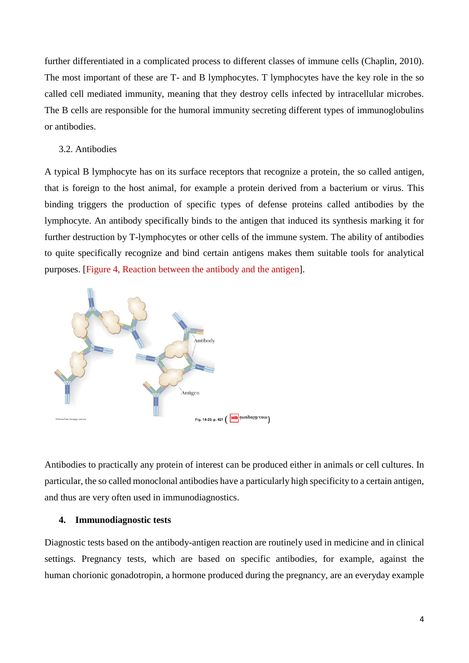further differentiated in a complicated process to different classes of immune cells (Chaplin, 2010). The most important of these are T- and B lymphocytes. T lymphocytes have the key role in the so called cell mediated immunity, meaning that they destroy cells infected by intracellular microbes. The B cells are responsible for the humoral immunity secreting different types of immunoglobulins or antibodies.

# 3.2. Antibodies

A typical B lymphocyte has on its surface receptors that recognize a protein, the so called antigen, that is foreign to the host animal, for example a protein derived from a bacterium or virus. This binding triggers the production of specific types of defense proteins called antibodies by the lymphocyte. An antibody specifically binds to the antigen that induced its synthesis marking it for further destruction by T-lymphocytes or other cells of the immune system. The ability of antibodies to quite specifically recognize and bind certain antigens makes them suitable tools for analytical purposes. [Figure 4, Reaction between the antibody and the antigen].



Antibodies to practically any protein of interest can be produced either in animals or cell cultures. In particular, the so called monoclonal antibodies have a particularly high specificity to a certain antigen, and thus are very often used in immunodiagnostics.

## **4. Immunodiagnostic tests**

Diagnostic tests based on the antibody-antigen reaction are routinely used in medicine and in clinical settings. Pregnancy tests, which are based on specific antibodies, for example, against the human chorionic gonadotropin, a hormone produced during the pregnancy, are an everyday example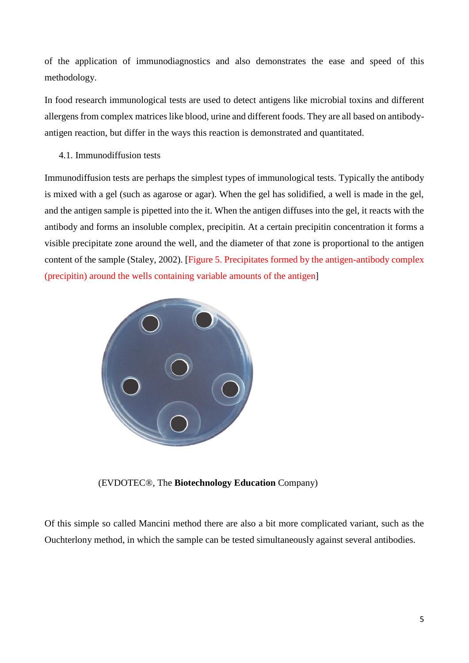of the application of immunodiagnostics and also demonstrates the ease and speed of this methodology.

In food research immunological tests are used to detect antigens like microbial toxins and different allergens from complex matrices like blood, urine and different foods. They are all based on antibodyantigen reaction, but differ in the ways this reaction is demonstrated and quantitated.

4.1. Immunodiffusion tests

Immunodiffusion tests are perhaps the simplest types of immunological tests. Typically the antibody is mixed with a gel (such as agarose or agar). When the gel has solidified, a well is made in the gel, and the antigen sample is pipetted into the it. When the antigen diffuses into the gel, it reacts with the antibody and forms an insoluble complex, precipitin. At a certain precipitin concentration it forms a visible precipitate zone around the well, and the diameter of that zone is proportional to the antigen content of the sample (Staley, 2002). [Figure 5. Precipitates formed by the antigen-antibody complex (precipitin) around the wells containing variable amounts of the antigen]



(EVDOTEC®, The **Biotechnology Education** Company)

Of this simple so called Mancini method there are also a bit more complicated variant, such as the Ouchterlony method, in which the sample can be tested simultaneously against several antibodies.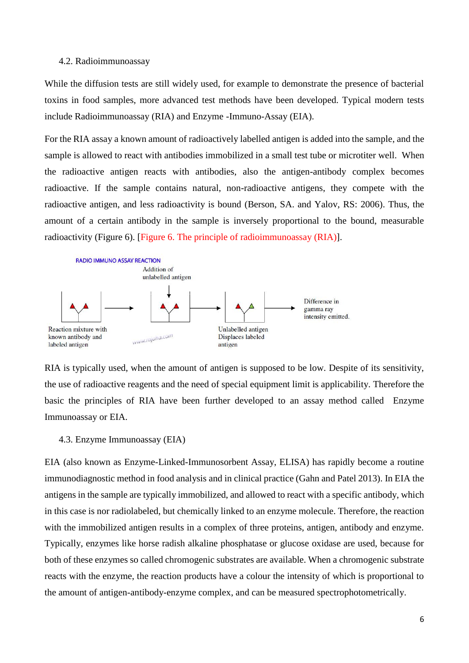#### 4.2. Radioimmunoassay

While the diffusion tests are still widely used, for example to demonstrate the presence of bacterial toxins in food samples, more advanced test methods have been developed. Typical modern tests include Radioimmunoassay (RIA) and Enzyme -Immuno-Assay (EIA).

For the RIA assay a known amount of radioactively labelled antigen is added into the sample, and the sample is allowed to react with antibodies immobilized in a small test tube or microtiter well. When the radioactive antigen reacts with antibodies, also the antigen-antibody complex becomes radioactive. If the sample contains natural, non-radioactive antigens, they compete with the radioactive antigen, and less radioactivity is bound (Berson, SA. and Yalov, RS: 2006). Thus, the amount of a certain antibody in the sample is inversely proportional to the bound, measurable radioactivity (Figure 6). [Figure 6. The principle of radioimmunoassay (RIA)].



RIA is typically used, when the amount of antigen is supposed to be low. Despite of its sensitivity, the use of radioactive reagents and the need of special equipment limit is applicability. Therefore the basic the principles of RIA have been further developed to an assay method called Enzyme Immunoassay or EIA.

#### 4.3. Enzyme Immunoassay (EIA)

EIA (also known as Enzyme-Linked-Immunosorbent Assay, ELISA) has rapidly become a routine immunodiagnostic method in food analysis and in clinical practice (Gahn and Patel 2013). In EIA the antigens in the sample are typically immobilized, and allowed to react with a specific antibody, which in this case is nor radiolabeled, but chemically linked to an enzyme molecule. Therefore, the reaction with the immobilized antigen results in a complex of three proteins, antigen, antibody and enzyme. Typically, enzymes like horse radish alkaline phosphatase or glucose oxidase are used, because for both of these enzymes so called chromogenic substrates are available. When a chromogenic substrate reacts with the enzyme, the reaction products have a colour the intensity of which is proportional to the amount of antigen-antibody-enzyme complex, and can be measured spectrophotometrically.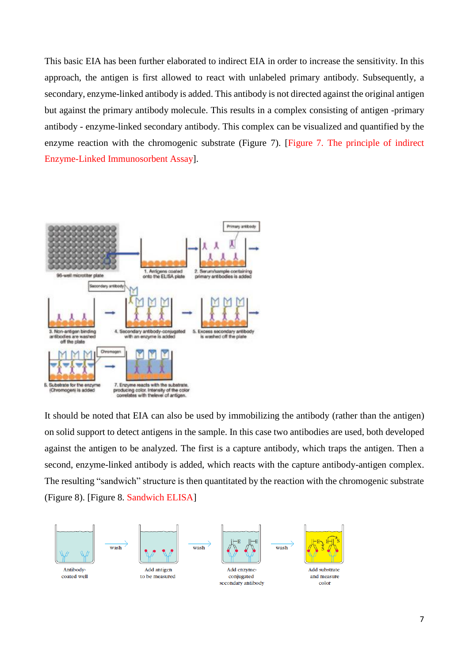This basic EIA has been further elaborated to indirect EIA in order to increase the sensitivity. In this approach, the antigen is first allowed to react with unlabeled primary antibody. Subsequently, a secondary, enzyme-linked antibody is added. This antibody is not directed against the original antigen but against the primary antibody molecule. This results in a complex consisting of antigen -primary antibody - enzyme-linked secondary antibody. This complex can be visualized and quantified by the enzyme reaction with the chromogenic substrate (Figure 7). [Figure 7. The principle of indirect Enzyme-Linked Immunosorbent Assay].



It should be noted that EIA can also be used by immobilizing the antibody (rather than the antigen) on solid support to detect antigens in the sample. In this case two antibodies are used, both developed against the antigen to be analyzed. The first is a capture antibody, which traps the antigen. Then a second, enzyme-linked antibody is added, which reacts with the capture antibody-antigen complex. The resulting "sandwich" structure is then quantitated by the reaction with the chromogenic substrate (Figure 8). [Figure 8. Sandwich ELISA]

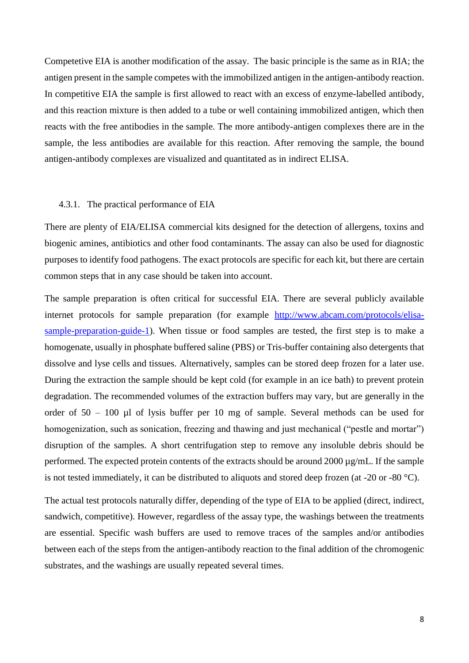Competetive EIA is another modification of the assay. The basic principle is the same as in RIA; the antigen present in the sample competes with the immobilized antigen in the antigen-antibody reaction. In competitive EIA the sample is first allowed to react with an excess of enzyme-labelled antibody, and this reaction mixture is then added to a tube or well containing immobilized antigen, which then reacts with the free antibodies in the sample. The more antibody-antigen complexes there are in the sample, the less antibodies are available for this reaction. After removing the sample, the bound antigen-antibody complexes are visualized and quantitated as in indirect ELISA.

# 4.3.1. The practical performance of EIA

There are plenty of EIA/ELISA commercial kits designed for the detection of allergens, toxins and biogenic amines, antibiotics and other food contaminants. The assay can also be used for diagnostic purposes to identify food pathogens. The exact protocols are specific for each kit, but there are certain common steps that in any case should be taken into account.

The sample preparation is often critical for successful EIA. There are several publicly available internet protocols for sample preparation (for example [http://www.abcam.com/protocols/elisa](http://www.abcam.com/protocols/elisa-sample-preparation-guide-1)[sample-preparation-guide-1\)](http://www.abcam.com/protocols/elisa-sample-preparation-guide-1). When tissue or food samples are tested, the first step is to make a homogenate, usually in phosphate buffered saline (PBS) or Tris-buffer containing also detergents that dissolve and lyse cells and tissues. Alternatively, samples can be stored deep frozen for a later use. During the extraction the sample should be kept cold (for example in an ice bath) to prevent protein degradation. The recommended volumes of the extraction buffers may vary, but are generally in the order of 50 – 100 µl of lysis buffer per 10 mg of sample. Several methods can be used for homogenization, such as sonication, freezing and thawing and just mechanical ("pestle and mortar") disruption of the samples. A short centrifugation step to remove any insoluble debris should be performed. The expected protein contents of the extracts should be around 2000 µg/mL. If the sample is not tested immediately, it can be distributed to aliquots and stored deep frozen (at -20 or -80 °C).

The actual test protocols naturally differ, depending of the type of EIA to be applied (direct, indirect, sandwich, competitive). However, regardless of the assay type, the washings between the treatments are essential. Specific wash buffers are used to remove traces of the samples and/or antibodies between each of the steps from the antigen-antibody reaction to the final addition of the chromogenic substrates, and the washings are usually repeated several times.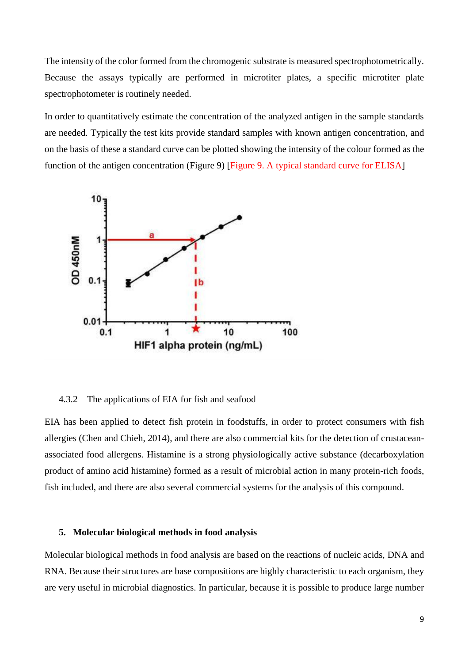The intensity of the color formed from the chromogenic substrate is measured spectrophotometrically. Because the assays typically are performed in microtiter plates, a specific microtiter plate spectrophotometer is routinely needed.

In order to quantitatively estimate the concentration of the analyzed antigen in the sample standards are needed. Typically the test kits provide standard samples with known antigen concentration, and on the basis of these a standard curve can be plotted showing the intensity of the colour formed as the function of the antigen concentration (Figure 9) [Figure 9. A typical standard curve for ELISA]



#### 4.3.2 The applications of EIA for fish and seafood

EIA has been applied to detect fish protein in foodstuffs, in order to protect consumers with fish allergies (Chen and Chieh, 2014), and there are also commercial kits for the detection of crustaceanassociated food allergens. Histamine is a strong physiologically active substance (decarboxylation product of amino acid histamine) formed as a result of microbial action in many protein-rich foods, fish included, and there are also several commercial systems for the analysis of this compound.

#### **5. Molecular biological methods in food analysis**

Molecular biological methods in food analysis are based on the reactions of nucleic acids, DNA and RNA. Because their structures are base compositions are highly characteristic to each organism, they are very useful in microbial diagnostics. In particular, because it is possible to produce large number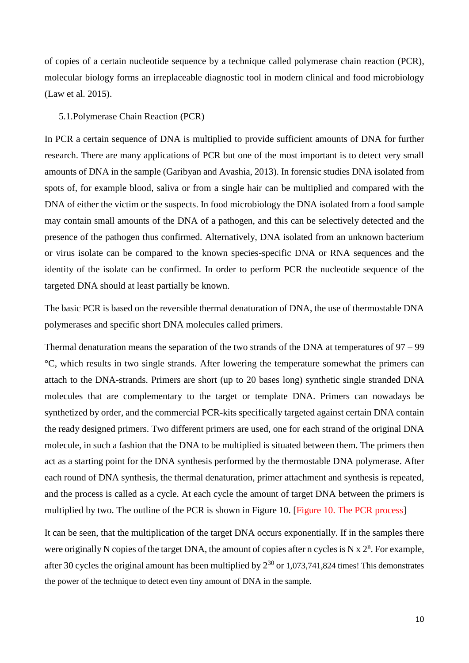of copies of a certain nucleotide sequence by a technique called polymerase chain reaction (PCR), molecular biology forms an irreplaceable diagnostic tool in modern clinical and food microbiology (Law et al. 2015).

# 5.1.Polymerase Chain Reaction (PCR)

In PCR a certain sequence of DNA is multiplied to provide sufficient amounts of DNA for further research. There are many applications of PCR but one of the most important is to detect very small amounts of DNA in the sample (Garibyan and Avashia, 2013). In forensic studies DNA isolated from spots of, for example blood, saliva or from a single hair can be multiplied and compared with the DNA of either the victim or the suspects. In food microbiology the DNA isolated from a food sample may contain small amounts of the DNA of a pathogen, and this can be selectively detected and the presence of the pathogen thus confirmed. Alternatively, DNA isolated from an unknown bacterium or virus isolate can be compared to the known species-specific DNA or RNA sequences and the identity of the isolate can be confirmed. In order to perform PCR the nucleotide sequence of the targeted DNA should at least partially be known.

The basic PCR is based on the reversible thermal denaturation of DNA, the use of thermostable DNA polymerases and specific short DNA molecules called primers.

Thermal denaturation means the separation of the two strands of the DNA at temperatures of 97 – 99 °C, which results in two single strands. After lowering the temperature somewhat the primers can attach to the DNA-strands. Primers are short (up to 20 bases long) synthetic single stranded DNA molecules that are complementary to the target or template DNA. Primers can nowadays be synthetized by order, and the commercial PCR-kits specifically targeted against certain DNA contain the ready designed primers. Two different primers are used, one for each strand of the original DNA molecule, in such a fashion that the DNA to be multiplied is situated between them. The primers then act as a starting point for the DNA synthesis performed by the thermostable DNA polymerase. After each round of DNA synthesis, the thermal denaturation, primer attachment and synthesis is repeated, and the process is called as a cycle. At each cycle the amount of target DNA between the primers is multiplied by two. The outline of the PCR is shown in Figure 10. [Figure 10. The PCR process]

It can be seen, that the multiplication of the target DNA occurs exponentially. If in the samples there were originally N copies of the target DNA, the amount of copies after n cycles is N  $\ge 2^n$ . For example, after 30 cycles the original amount has been multiplied by  $2^{30}$  or 1,073,741,824 times! This demonstrates the power of the technique to detect even tiny amount of DNA in the sample.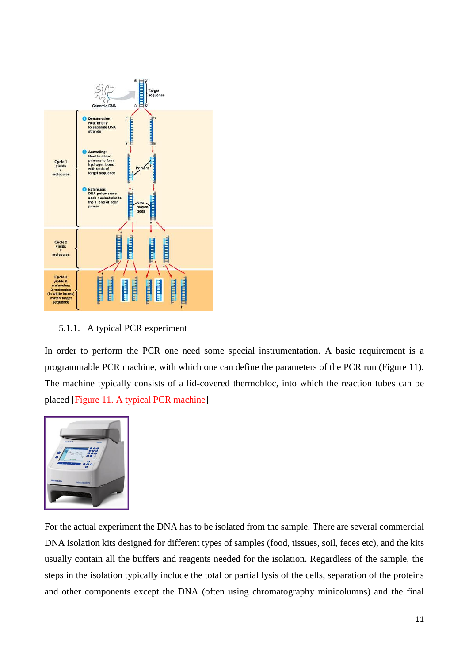

5.1.1. A typical PCR experiment

In order to perform the PCR one need some special instrumentation. A basic requirement is a programmable PCR machine, with which one can define the parameters of the PCR run (Figure 11). The machine typically consists of a lid-covered thermobloc, into which the reaction tubes can be placed [Figure 11. A typical PCR machine]



For the actual experiment the DNA has to be isolated from the sample. There are several commercial DNA isolation kits designed for different types of samples (food, tissues, soil, feces etc), and the kits usually contain all the buffers and reagents needed for the isolation. Regardless of the sample, the steps in the isolation typically include the total or partial lysis of the cells, separation of the proteins and other components except the DNA (often using chromatography minicolumns) and the final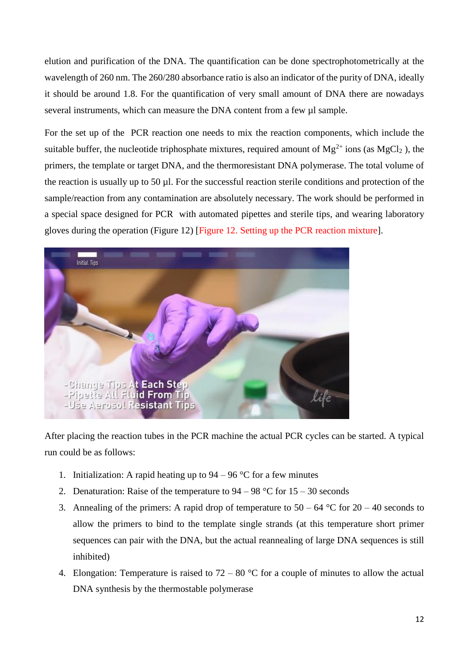elution and purification of the DNA. The quantification can be done spectrophotometrically at the wavelength of 260 nm. The 260/280 absorbance ratio is also an indicator of the purity of DNA, ideally it should be around 1.8. For the quantification of very small amount of DNA there are nowadays several instruments, which can measure the DNA content from a few  $\mu$ l sample.

For the set up of the PCR reaction one needs to mix the reaction components, which include the suitable buffer, the nucleotide triphosphate mixtures, required amount of  $Mg^{2+}$  ions (as  $MgCl_2$ ), the primers, the template or target DNA, and the thermoresistant DNA polymerase. The total volume of the reaction is usually up to 50 µl. For the successful reaction sterile conditions and protection of the sample/reaction from any contamination are absolutely necessary. The work should be performed in a special space designed for PCR with automated pipettes and sterile tips, and wearing laboratory gloves during the operation (Figure 12) [Figure 12. Setting up the PCR reaction mixture].



After placing the reaction tubes in the PCR machine the actual PCR cycles can be started. A typical run could be as follows:

- 1. Initialization: A rapid heating up to  $94 96$  °C for a few minutes
- 2. Denaturation: Raise of the temperature to  $94 98$  °C for  $15 30$  seconds
- 3. Annealing of the primers: A rapid drop of temperature to  $50 64$  °C for  $20 40$  seconds to allow the primers to bind to the template single strands (at this temperature short primer sequences can pair with the DNA, but the actual reannealing of large DNA sequences is still inhibited)
- 4. Elongation: Temperature is raised to  $72 80$  °C for a couple of minutes to allow the actual DNA synthesis by the thermostable polymerase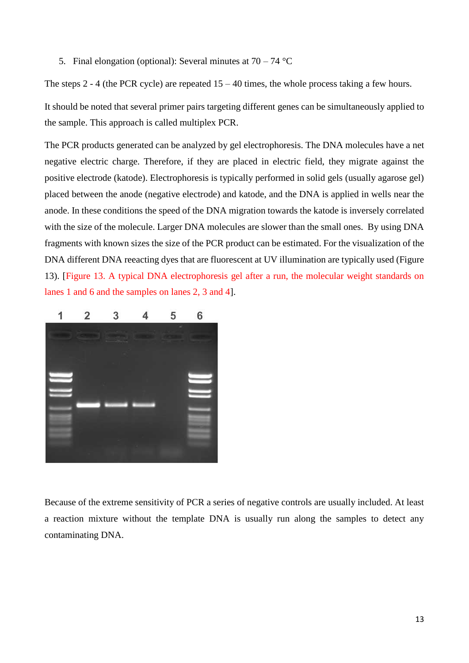5. Final elongation (optional): Several minutes at  $70 - 74$  °C

The steps 2 - 4 (the PCR cycle) are repeated  $15 - 40$  times, the whole process taking a few hours.

It should be noted that several primer pairs targeting different genes can be simultaneously applied to the sample. This approach is called multiplex PCR.

The PCR products generated can be analyzed by gel electrophoresis. The DNA molecules have a net negative electric charge. Therefore, if they are placed in electric field, they migrate against the positive electrode (katode). Electrophoresis is typically performed in solid gels (usually agarose gel) placed between the anode (negative electrode) and katode, and the DNA is applied in wells near the anode. In these conditions the speed of the DNA migration towards the katode is inversely correlated with the size of the molecule. Larger DNA molecules are slower than the small ones. By using DNA fragments with known sizes the size of the PCR product can be estimated. For the visualization of the DNA different DNA reeacting dyes that are fluorescent at UV illumination are typically used (Figure 13). [Figure 13. A typical DNA electrophoresis gel after a run, the molecular weight standards on lanes 1 and 6 and the samples on lanes 2, 3 and 4].



Because of the extreme sensitivity of PCR a series of negative controls are usually included. At least a reaction mixture without the template DNA is usually run along the samples to detect any contaminating DNA.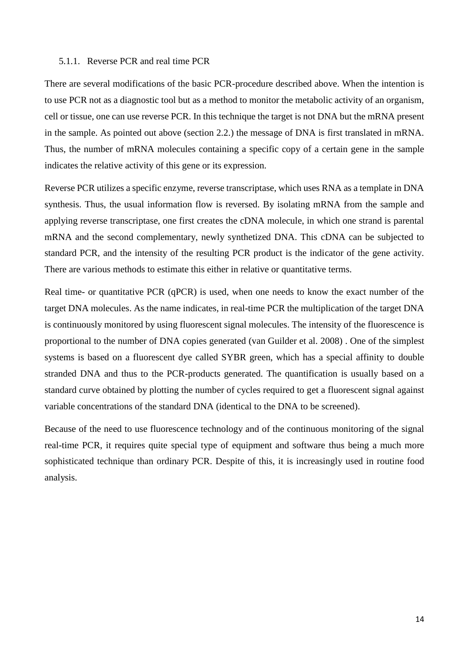# 5.1.1. Reverse PCR and real time PCR

There are several modifications of the basic PCR-procedure described above. When the intention is to use PCR not as a diagnostic tool but as a method to monitor the metabolic activity of an organism, cell or tissue, one can use reverse PCR. In this technique the target is not DNA but the mRNA present in the sample. As pointed out above (section 2.2.) the message of DNA is first translated in mRNA. Thus, the number of mRNA molecules containing a specific copy of a certain gene in the sample indicates the relative activity of this gene or its expression.

Reverse PCR utilizes a specific enzyme, reverse transcriptase, which uses RNA as a template in DNA synthesis. Thus, the usual information flow is reversed. By isolating mRNA from the sample and applying reverse transcriptase, one first creates the cDNA molecule, in which one strand is parental mRNA and the second complementary, newly synthetized DNA. This cDNA can be subjected to standard PCR, and the intensity of the resulting PCR product is the indicator of the gene activity. There are various methods to estimate this either in relative or quantitative terms.

Real time- or quantitative PCR (qPCR) is used, when one needs to know the exact number of the target DNA molecules. As the name indicates, in real-time PCR the multiplication of the target DNA is continuously monitored by using fluorescent signal molecules. The intensity of the fluorescence is proportional to the number of DNA copies generated (van Guilder et al. 2008) . One of the simplest systems is based on a fluorescent dye called SYBR green, which has a special affinity to double stranded DNA and thus to the PCR-products generated. The quantification is usually based on a standard curve obtained by plotting the number of cycles required to get a fluorescent signal against variable concentrations of the standard DNA (identical to the DNA to be screened).

Because of the need to use fluorescence technology and of the continuous monitoring of the signal real-time PCR, it requires quite special type of equipment and software thus being a much more sophisticated technique than ordinary PCR. Despite of this, it is increasingly used in routine food analysis.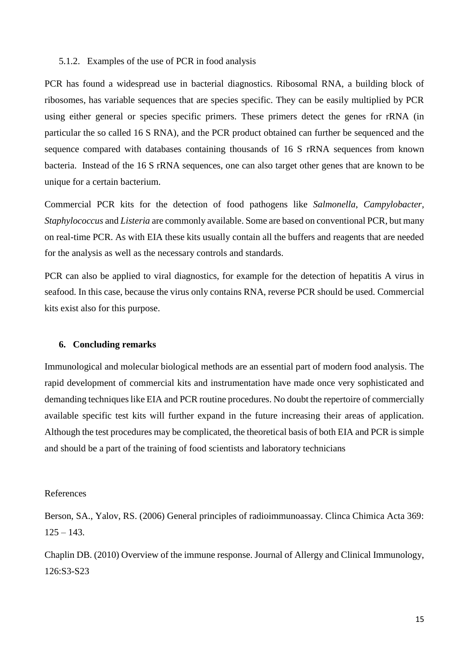## 5.1.2. Examples of the use of PCR in food analysis

PCR has found a widespread use in bacterial diagnostics. Ribosomal RNA, a building block of ribosomes, has variable sequences that are species specific. They can be easily multiplied by PCR using either general or species specific primers. These primers detect the genes for rRNA (in particular the so called 16 S RNA), and the PCR product obtained can further be sequenced and the sequence compared with databases containing thousands of 16 S rRNA sequences from known bacteria. Instead of the 16 S rRNA sequences, one can also target other genes that are known to be unique for a certain bacterium.

Commercial PCR kits for the detection of food pathogens like *Salmonella*, *Campylobacter, Staphylococcus* and *Listeria* are commonly available. Some are based on conventional PCR, but many on real-time PCR. As with EIA these kits usually contain all the buffers and reagents that are needed for the analysis as well as the necessary controls and standards.

PCR can also be applied to viral diagnostics, for example for the detection of hepatitis A virus in seafood. In this case, because the virus only contains RNA, reverse PCR should be used. Commercial kits exist also for this purpose.

#### **6. Concluding remarks**

Immunological and molecular biological methods are an essential part of modern food analysis. The rapid development of commercial kits and instrumentation have made once very sophisticated and demanding techniques like EIA and PCR routine procedures. No doubt the repertoire of commercially available specific test kits will further expand in the future increasing their areas of application. Although the test procedures may be complicated, the theoretical basis of both EIA and PCR is simple and should be a part of the training of food scientists and laboratory technicians

## References

Berson, SA., Yalov, RS. (2006) General principles of radioimmunoassay. Clinca Chimica Acta 369:  $125 - 143.$ 

Chaplin DB. (2010) Overview of the immune response. Journal of Allergy and Clinical Immunology, 126:S3-S23